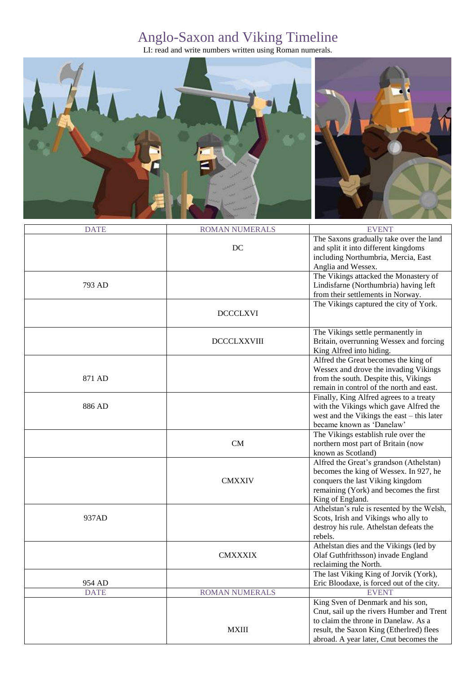## Anglo-Saxon and Viking Timeline

LI: read and write numbers written using Roman numerals.



| <b>DATE</b> | <b>ROMAN NUMERALS</b> | <b>EVENT</b>                               |
|-------------|-----------------------|--------------------------------------------|
|             |                       | The Saxons gradually take over the land    |
|             | DC                    | and split it into different kingdoms       |
|             |                       | including Northumbria, Mercia, East        |
|             |                       | Anglia and Wessex.                         |
|             |                       | The Vikings attacked the Monastery of      |
| 793 AD      |                       | Lindisfarne (Northumbria) having left      |
|             |                       | from their settlements in Norway.          |
|             |                       | The Vikings captured the city of York.     |
|             | <b>DCCCLXVI</b>       |                                            |
|             |                       |                                            |
|             |                       | The Vikings settle permanently in          |
|             | <b>DCCCLXXVIII</b>    | Britain, overrunning Wessex and forcing    |
|             |                       | King Alfred into hiding.                   |
|             |                       | Alfred the Great becomes the king of       |
|             |                       | Wessex and drove the invading Vikings      |
| 871 AD      |                       | from the south. Despite this, Vikings      |
|             |                       | remain in control of the north and east.   |
|             |                       |                                            |
| 886 AD      |                       | Finally, King Alfred agrees to a treaty    |
|             |                       | with the Vikings which gave Alfred the     |
|             |                       | west and the Vikings the east – this later |
|             |                       | became known as 'Danelaw'                  |
|             |                       | The Vikings establish rule over the        |
|             | CM                    | northern most part of Britain (now         |
|             |                       | known as Scotland)                         |
|             |                       | Alfred the Great's grandson (Athelstan)    |
|             |                       | becomes the king of Wessex. In 927, he     |
|             | <b>CMXXIV</b>         | conquers the last Viking kingdom           |
|             |                       | remaining (York) and becomes the first     |
|             |                       | King of England.                           |
| 937AD       |                       | Athelstan's rule is resented by the Welsh, |
|             |                       | Scots, Irish and Vikings who ally to       |
|             |                       | destroy his rule. Athelstan defeats the    |
|             |                       | rebels.                                    |
|             |                       | Athelstan dies and the Vikings (led by     |
|             | <b>CMXXXIX</b>        | Olaf Guthfrithsson) invade England         |
|             |                       | reclaiming the North.                      |
|             |                       | The last Viking King of Jorvik (York),     |
| 954 AD      |                       | Eric Bloodaxe, is forced out of the city.  |
| <b>DATE</b> | <b>ROMAN NUMERALS</b> | <b>EVENT</b>                               |
|             |                       | King Sven of Denmark and his son,          |
|             |                       | Cnut, sail up the rivers Humber and Trent  |
|             |                       | to claim the throne in Danelaw. As a       |
|             | <b>MXIII</b>          | result, the Saxon King (Etherlred) flees   |
|             |                       |                                            |
|             |                       | abroad. A year later, Cnut becomes the     |